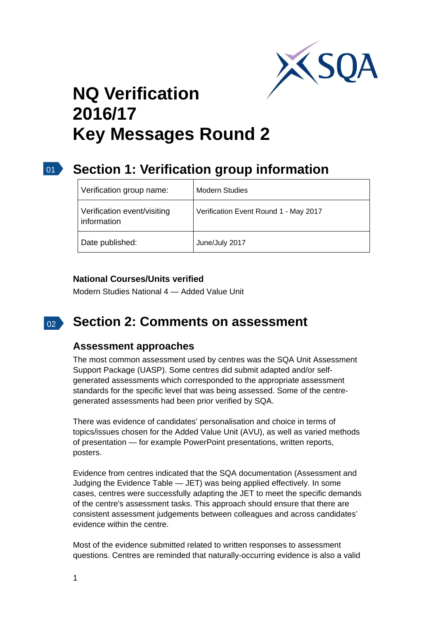

# **NQ Verification 2016/17 Key Messages Round 2**

#### $\overline{01}$ **Section 1: Verification group information**

| Verification group name:                   | <b>Modern Studies</b>                 |
|--------------------------------------------|---------------------------------------|
| Verification event/visiting<br>information | Verification Event Round 1 - May 2017 |
| Date published:                            | June/July 2017                        |

### **National Courses/Units verified**

Modern Studies National 4 — Added Value Unit

#### $02<sup>2</sup>$ **Section 2: Comments on assessment**

## **Assessment approaches**

The most common assessment used by centres was the SQA Unit Assessment Support Package (UASP). Some centres did submit adapted and/or selfgenerated assessments which corresponded to the appropriate assessment standards for the specific level that was being assessed. Some of the centregenerated assessments had been prior verified by SQA.

There was evidence of candidates' personalisation and choice in terms of topics/issues chosen for the Added Value Unit (AVU), as well as varied methods of presentation — for example PowerPoint presentations, written reports, posters.

Evidence from centres indicated that the SQA documentation (Assessment and Judging the Evidence Table — JET) was being applied effectively. In some cases, centres were successfully adapting the JET to meet the specific demands of the centre's assessment tasks. This approach should ensure that there are consistent assessment judgements between colleagues and across candidates' evidence within the centre.

Most of the evidence submitted related to written responses to assessment questions. Centres are reminded that naturally-occurring evidence is also a valid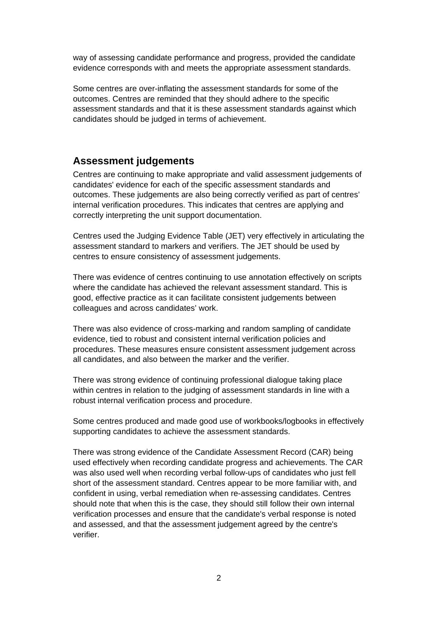way of assessing candidate performance and progress, provided the candidate evidence corresponds with and meets the appropriate assessment standards.

Some centres are over-inflating the assessment standards for some of the outcomes. Centres are reminded that they should adhere to the specific assessment standards and that it is these assessment standards against which candidates should be judged in terms of achievement.

## **Assessment judgements**

Centres are continuing to make appropriate and valid assessment judgements of candidates' evidence for each of the specific assessment standards and outcomes. These judgements are also being correctly verified as part of centres' internal verification procedures. This indicates that centres are applying and correctly interpreting the unit support documentation.

Centres used the Judging Evidence Table (JET) very effectively in articulating the assessment standard to markers and verifiers. The JET should be used by centres to ensure consistency of assessment judgements.

There was evidence of centres continuing to use annotation effectively on scripts where the candidate has achieved the relevant assessment standard. This is good, effective practice as it can facilitate consistent judgements between colleagues and across candidates' work.

There was also evidence of cross-marking and random sampling of candidate evidence, tied to robust and consistent internal verification policies and procedures. These measures ensure consistent assessment judgement across all candidates, and also between the marker and the verifier.

There was strong evidence of continuing professional dialogue taking place within centres in relation to the judging of assessment standards in line with a robust internal verification process and procedure.

Some centres produced and made good use of workbooks/logbooks in effectively supporting candidates to achieve the assessment standards.

There was strong evidence of the Candidate Assessment Record (CAR) being used effectively when recording candidate progress and achievements. The CAR was also used well when recording verbal follow-ups of candidates who just fell short of the assessment standard. Centres appear to be more familiar with, and confident in using, verbal remediation when re-assessing candidates. Centres should note that when this is the case, they should still follow their own internal verification processes and ensure that the candidate's verbal response is noted and assessed, and that the assessment judgement agreed by the centre's verifier.